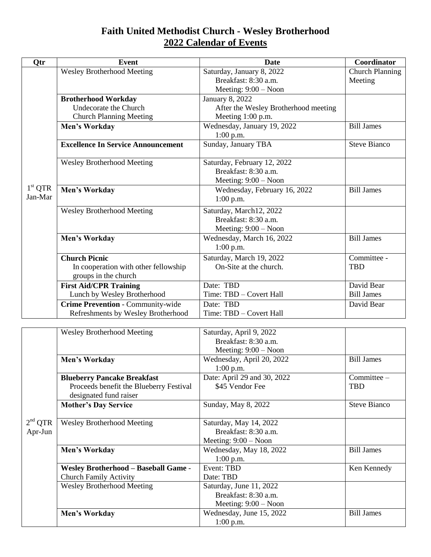## **Faith United Methodist Church - Wesley Brotherhood 2022 Calendar of Events**

| Otr                         | Event                                                                                 | Date                                                                           | Coordinator                       |
|-----------------------------|---------------------------------------------------------------------------------------|--------------------------------------------------------------------------------|-----------------------------------|
| $1^{\rm st}$ QTR<br>Jan-Mar | <b>Wesley Brotherhood Meeting</b>                                                     | Saturday, January 8, 2022<br>Breakfast: 8:30 a.m.<br>Meeting: $9:00 - N$ oon   | <b>Church Planning</b><br>Meeting |
|                             | <b>Brotherhood Workday</b><br>Undecorate the Church<br><b>Church Planning Meeting</b> | January 8, 2022<br>After the Wesley Brotherhood meeting<br>Meeting 1:00 p.m.   |                                   |
|                             | Men's Workday                                                                         | Wednesday, January 19, 2022<br>$1:00$ p.m.                                     | <b>Bill James</b>                 |
|                             | <b>Excellence In Service Announcement</b>                                             | Sunday, January TBA                                                            | <b>Steve Bianco</b>               |
|                             | Wesley Brotherhood Meeting                                                            | Saturday, February 12, 2022<br>Breakfast: 8:30 a.m.<br>Meeting: $9:00 - N$ oon |                                   |
|                             | Men's Workday                                                                         | Wednesday, February 16, 2022<br>$1:00$ p.m.                                    | <b>Bill James</b>                 |
|                             | Wesley Brotherhood Meeting                                                            | Saturday, March12, 2022<br>Breakfast: 8:30 a.m.<br>Meeting: $9:00 - N$ oon     |                                   |
|                             | Men's Workday                                                                         | Wednesday, March 16, 2022<br>$1:00$ p.m.                                       | <b>Bill James</b>                 |
|                             | <b>Church Picnic</b><br>In cooperation with other fellowship<br>groups in the church  | Saturday, March 19, 2022<br>On-Site at the church.                             | Committee -<br><b>TBD</b>         |
|                             | <b>First Aid/CPR Training</b><br>Lunch by Wesley Brotherhood                          | Date: TBD<br>Time: TBD - Covert Hall                                           | David Bear<br><b>Bill James</b>   |
|                             | Crime Prevention - Community-wide<br>Refreshments by Wesley Brotherhood               | Date: TBD<br>Time: TBD - Covert Hall                                           | David Bear                        |

|                     | <b>Wesley Brotherhood Meeting</b>           | Saturday, April 9, 2022<br>Breakfast: 8:30 a.m. |                     |
|---------------------|---------------------------------------------|-------------------------------------------------|---------------------|
|                     |                                             | Meeting: $9:00 - N$ oon                         |                     |
|                     | Men's Workday                               | Wednesday, April 20, 2022                       | <b>Bill James</b>   |
|                     |                                             | $1:00$ p.m.                                     |                     |
|                     | <b>Blueberry Pancake Breakfast</b>          | Date: April 29 and 30, 2022                     | Committee -         |
|                     | Proceeds benefit the Blueberry Festival     | \$45 Vendor Fee                                 | <b>TBD</b>          |
|                     | designated fund raiser                      |                                                 |                     |
|                     | <b>Mother's Day Service</b>                 | Sunday, May 8, 2022                             | <b>Steve Bianco</b> |
|                     |                                             |                                                 |                     |
| 2 <sup>nd</sup> QTR | <b>Wesley Brotherhood Meeting</b>           | Saturday, May 14, 2022                          |                     |
| Apr-Jun             |                                             | Breakfast: 8:30 a.m.                            |                     |
|                     |                                             | Meeting: $9:00 - N$ oon                         |                     |
|                     | <b>Men's Workday</b>                        | Wednesday, May 18, 2022                         | <b>Bill James</b>   |
|                     |                                             | $1:00$ p.m.                                     |                     |
|                     | <b>Wesley Brotherhood - Baseball Game -</b> | Event: TBD                                      | Ken Kennedy         |
|                     | <b>Church Family Activity</b>               | Date: TBD                                       |                     |
|                     | <b>Wesley Brotherhood Meeting</b>           | Saturday, June 11, 2022                         |                     |
|                     |                                             | Breakfast: 8:30 a.m.                            |                     |
|                     |                                             | Meeting: $9:00 - N$ oon                         |                     |
|                     | Men's Workday                               | Wednesday, June 15, 2022                        | <b>Bill James</b>   |
|                     |                                             | $1:00$ p.m.                                     |                     |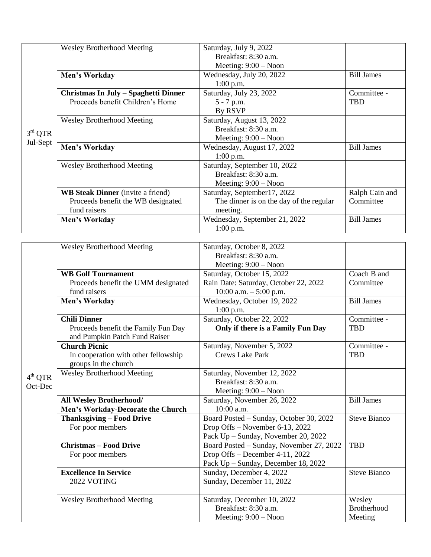| $3rd$ QTR<br>Jul-Sept | <b>Wesley Brotherhood Meeting</b>        | Saturday, July 9, 2022                  |                   |
|-----------------------|------------------------------------------|-----------------------------------------|-------------------|
|                       |                                          | Breakfast: 8:30 a.m.                    |                   |
|                       |                                          | Meeting: $9:00 - N$ oon                 |                   |
|                       | Men's Workday                            | Wednesday, July 20, 2022                | <b>Bill James</b> |
|                       |                                          | $1:00$ p.m.                             |                   |
|                       | Christmas In July - Spaghetti Dinner     | Saturday, July 23, 2022                 | Committee -       |
|                       | Proceeds benefit Children's Home         | $5 - 7$ p.m.                            | <b>TBD</b>        |
|                       |                                          | By RSVP                                 |                   |
|                       | <b>Wesley Brotherhood Meeting</b>        | Saturday, August 13, 2022               |                   |
|                       |                                          | Breakfast: 8:30 a.m.                    |                   |
|                       |                                          | Meeting: $9:00 - N$ oon                 |                   |
|                       | Men's Workday                            | Wednesday, August 17, 2022              | <b>Bill James</b> |
|                       |                                          | $1:00$ p.m.                             |                   |
|                       | <b>Wesley Brotherhood Meeting</b>        | Saturday, September 10, 2022            |                   |
|                       |                                          | Breakfast: 8:30 a.m.                    |                   |
|                       |                                          | Meeting: $9:00 - N$ oon                 |                   |
|                       | <b>WB Steak Dinner</b> (invite a friend) | Saturday, September17, 2022             | Ralph Cain and    |
|                       | Proceeds benefit the WB designated       | The dinner is on the day of the regular | Committee         |
|                       | fund raisers                             | meeting.                                |                   |
|                       | Men's Workday                            | Wednesday, September 21, 2022           | <b>Bill James</b> |
|                       |                                          | $1:00$ p.m.                             |                   |

|                                | <b>Wesley Brotherhood Meeting</b>    | Saturday, October 8, 2022                |                     |
|--------------------------------|--------------------------------------|------------------------------------------|---------------------|
|                                |                                      | Breakfast: 8:30 a.m.                     |                     |
|                                |                                      | Meeting: $9:00 - N$ oon                  |                     |
|                                | <b>WB Golf Tournament</b>            | Saturday, October 15, 2022               | Coach B and         |
|                                | Proceeds benefit the UMM designated  | Rain Date: Saturday, October 22, 2022    | Committee           |
|                                | fund raisers                         | $10:00$ a.m. $-5:00$ p.m.                |                     |
|                                | Men's Workday                        | Wednesday, October 19, 2022              | <b>Bill James</b>   |
|                                |                                      | $1:00$ p.m.                              |                     |
|                                | <b>Chili Dinner</b>                  | Saturday, October 22, 2022               | Committee -         |
|                                | Proceeds benefit the Family Fun Day  | Only if there is a Family Fun Day        | <b>TBD</b>          |
| 4 <sup>th</sup> QTR<br>Oct-Dec | and Pumpkin Patch Fund Raiser        |                                          |                     |
|                                | <b>Church Picnic</b>                 | Saturday, November 5, 2022               | Committee -         |
|                                | In cooperation with other fellowship | <b>Crews Lake Park</b>                   | <b>TBD</b>          |
|                                | groups in the church                 |                                          |                     |
|                                | <b>Wesley Brotherhood Meeting</b>    | Saturday, November 12, 2022              |                     |
|                                |                                      | Breakfast: 8:30 a.m.                     |                     |
|                                |                                      | Meeting: $9:00 - N$ oon                  |                     |
|                                | <b>All Wesley Brotherhood/</b>       | Saturday, November 26, 2022              | <b>Bill James</b>   |
|                                | Men's Workday-Decorate the Church    | 10:00 a.m.                               |                     |
|                                | <b>Thanksgiving - Food Drive</b>     | Board Posted - Sunday, October 30, 2022  | <b>Steve Bianco</b> |
|                                | For poor members                     | Drop Offs - November 6-13, 2022          |                     |
|                                |                                      | Pack Up - Sunday, November 20, 2022      |                     |
|                                | <b>Christmas - Food Drive</b>        | Board Posted - Sunday, November 27, 2022 | <b>TBD</b>          |
|                                | For poor members                     | Drop Offs - December 4-11, 2022          |                     |
|                                |                                      | Pack Up - Sunday, December 18, 2022      |                     |
|                                | <b>Excellence In Service</b>         | Sunday, December 4, 2022                 | <b>Steve Bianco</b> |
|                                | 2022 VOTING                          | Sunday, December 11, 2022                |                     |
|                                |                                      |                                          |                     |
|                                | <b>Wesley Brotherhood Meeting</b>    | Saturday, December 10, 2022              | Wesley              |
|                                |                                      | Breakfast: 8:30 a.m.                     | <b>Brotherhood</b>  |
|                                |                                      | Meeting: $9:00 - N$ oon                  | Meeting             |